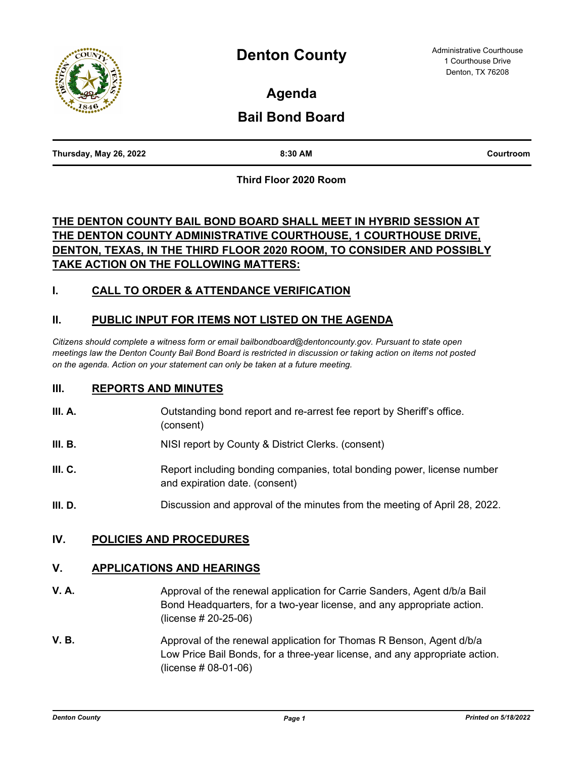

**Agenda**

# **Bail Bond Board**

| Thursday, May 26, 2022 | 8:30 AM<br>. | Courtroom |
|------------------------|--------------|-----------|
|                        |              |           |

**Third Floor 2020 Room**

## **THE DENTON COUNTY BAIL BOND BOARD SHALL MEET IN HYBRID SESSION AT THE DENTON COUNTY ADMINISTRATIVE COURTHOUSE, 1 COURTHOUSE DRIVE, DENTON, TEXAS, IN THE THIRD FLOOR 2020 ROOM, TO CONSIDER AND POSSIBLY TAKE ACTION ON THE FOLLOWING MATTERS:**

## **I. CALL TO ORDER & ATTENDANCE VERIFICATION**

### **II. PUBLIC INPUT FOR ITEMS NOT LISTED ON THE AGENDA**

*Citizens should complete a witness form or email bailbondboard@dentoncounty.gov. Pursuant to state open meetings law the Denton County Bail Bond Board is restricted in discussion or taking action on items not posted on the agenda. Action on your statement can only be taken at a future meeting.*

#### **III. REPORTS AND MINUTES**

- **III. A.** Outstanding bond report and re-arrest fee report by Sheriff's office. (consent)
- **III. B.** NISI report by County & District Clerks. (consent)
- **III. C.** Report including bonding companies, total bonding power, license number and expiration date. (consent)
- **III. D.** Discussion and approval of the minutes from the meeting of April 28, 2022.

#### **IV. POLICIES AND PROCEDURES**

#### **V. APPLICATIONS AND HEARINGS**

- **V. A.** And **Approval of the renewal application for Carrie Sanders, Agent d/b/a Bail Company Agent and Agent distribution of Agent distribution of Agent distribution of Agent distribution of Agent distribution of Agent di** Bond Headquarters, for a two-year license, and any appropriate action. (license # 20-25-06)
- **V. B.** Approval of the renewal application for Thomas R Benson, Agent d/b/a Low Price Bail Bonds, for a three-year license, and any appropriate action. (license # 08-01-06)